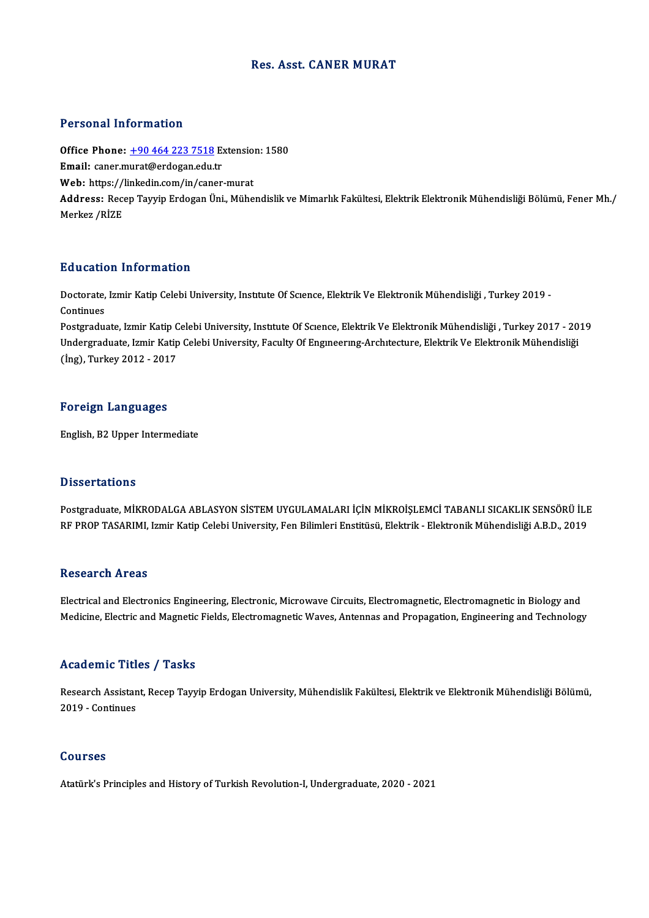## Res. Asst. CANER MURAT

## Personal Information

Personal Information<br>Office Phone: <u>+90 464 223 7518</u> Extension: 1580<br>Email: canor murat@ordogan.edu.tr Processian information<br>Office Phone: <u>+90 464 223 7518</u> Ex<br>Email: caner.m[urat@erdogan.edu.](tel:+90 464 223 7518)tr Office Phone: <u>+90 464 223 7518</u> Extensio:<br>Email: caner.murat@erdogan.edu.tr<br>Web: https://linkedin.com/in/caner-murat Email: caner.murat@erdogan.edu.tr<br>Web: https://linkedin.com/in/caner-murat<br>Address: Recep Tayyip Erdogan Üni., Mühendislik ve Mimarlık Fakültesi, Elektrik Elektronik Mühendisliği Bölümü, Fener Mh./<br>Merkez /RİZE Web: https://linkedin.com/in/caner-murat

## Education Information

**Education Information**<br>Doctorate, Izmir Katip Celebi University, Instıtute Of Scıence, Elektrik Ve Elektronik Mühendisliği , Turkey 2019 -<br>Continues Doctorate,<br>Continues<br>Postaredu Doctorate, Izmir Katip Celebi University, Institute Of Science, Elektrik Ve Elektronik Mühendisliği , Turkey 2019 -<br>Continues<br>Postgraduate, Izmir Katip Celebi University, Institute Of Science, Elektrik Ve Elektronik Mühend

Continues<br>Postgraduate, Izmir Katip Celebi University, Institute Of Science, Elektrik Ve Elektronik Mühendisliği , Turkey 2017 - 20<br>Undergraduate, Izmir Katip Celebi University, Faculty Of Engineering-Architecture, Elektri Undergraduate, Izmir Katip Celebi University, Faculty Of Engmeering-Architecture, Elektrik Ve Elektronik Mühendisliği<br>(İng), Turkey 2012 - 2017

## Foreign Languages

English,B2Upper Intermediate

### **Dissertations**

Dissertations<br>Postgraduate, MİKRODALGA ABLASYON SİSTEM UYGULAMALARI İÇİN MİKROİŞLEMCİ TABANLI SICAKLIK SENSÖRÜ İLE<br>PE PROP TASARIMI Jemir Katin Colobi University, For Bilimleri Enstitüsü, Elektrik, Elektronik Mühandisliği B ISSSI CATISTIS<br>Postgraduate, MİKRODALGA ABLASYON SİSTEM UYGULAMALARI İÇİN MİKROİŞLEMCİ TABANLI SICAKLIK SENSÖRÜ İLE<br>RF PROP TASARIMI, İzmir Katip Celebi University, Fen Bilimleri Enstitüsü, Elektrik - Elektronik Mühendis RF PROP TASARIMI, Izmir Katip Celebi University, Fen Bilimleri Enstitüsü, Elektrik - Elektronik Mühendisliği A.B.D., 2019<br>Research Areas

Electrical and Electronics Engineering, Electronic, Microwave Circuits, Electromagnetic, Electromagnetic in Biology and Medicine, Electric and Magnetic Fields, Electromagnetic Waves, Antennas and Propagation, Engineering and Technology

## Academic Titles / Tasks

**Academic Titles / Tasks**<br>Research Assistant, Recep Tayyip Erdogan University, Mühendislik Fakültesi, Elektrik ve Elektronik Mühendisliği Bölümü,<br>2019. *Continues* Example<br>2019 - Continues<br>2019 - Continues 2019 - Continues<br>Courses

Atatürk's Principles and History of Turkish Revolution-I, Undergraduate, 2020 - 2021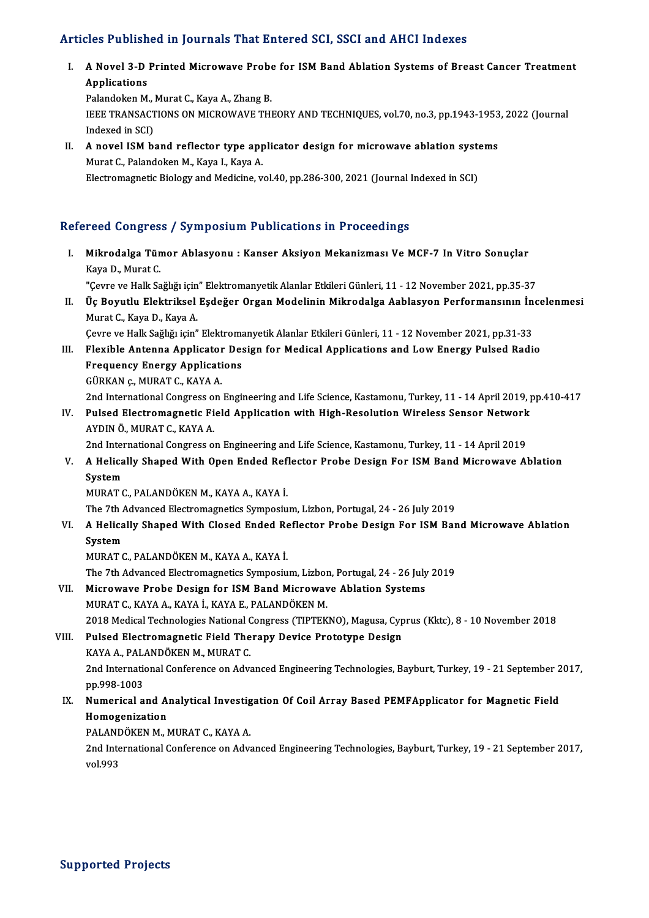## Articles Published in Journals That Entered SCI, SSCI and AHCI Indexes

rticles Published in Journals That Entered SCI, SSCI and AHCI Indexes<br>I. A Novel 3-D Printed Microwave Probe for ISM Band Ablation Systems of Breast Cancer Treatment<br>Applications A Novel 3-D<br>Applications<br>Pelandelso M **A Novel 3-D Printed Microwave Probe<br>Applications<br>Palandoken M., Murat C., Kaya A., Zhang B.<br>IEEE TRANSACTIONS ON MICROWAVE TUI** 

Applications<br>Palandoken M., Murat C., Kaya A., Zhang B.<br>IEEE TRANSACTIONS ON MICROWAVE THEORY AND TECHNIQUES, vol.70, no.3, pp.1943-1953, 2022 (Journal Palandoken M., Murat C., Kaya A., Zhang B.<br>IEEE TRANSACTIONS ON MICROWAVE THEORY AND TECHNIQUES, vol.70, no.3, pp.1943-1953<br>Indexed in SCI)<br>II. A novel ISM band reflector type applicator design for microwave ablation s IEEE TRANSACTIONS ON MICROWAVE THEORY AND TECHNIQUES, vol.70, no.3, pp.1943-1953<br>Indexed in SCI)<br>II. A novel ISM band reflector type applicator design for microwave ablation systems<br>Murat C Balandakan M. Kaya A

Murat C., Palandoken M., Kaya I., Kaya A. Electromagnetic Biology and Medicine, vol.40, pp.286-300, 2021 (Journal Indexed in SCI)

## Refereed Congress / Symposium Publications in Proceedings

- efereed Congress / Symposium Publications in Proceedings<br>I. Mikrodalga Tümor Ablasyonu : Kanser Aksiyon Mekanizması Ve MCF-7 In Vitro Sonuçlar<br>Kaya D. Murat C rood dongroo<br>Mikrodalga Tün<br>Kaya D., Murat C.<br>"Cayro vo Hall: Sa Kaya D., Murat C.<br>"Çevre ve Halk Sağlığı için" Elektromanyetik Alanlar Etkileri Günleri, 11 - 12 November 2021, pp.35-37 Kaya D., Murat C.<br>"Çevre ve Halk Sağlığı için" Elektromanyetik Alanlar Etkileri Günleri, 11 - 12 November 2021, pp.35-37<br>II. Üç Boyutlu Elektriksel Eşdeğer Organ Modelinin Mikrodalga Aablasyon Performansının İncelenmes
- "Çevre ve Halk Sağlığı için<br><mark>Üç Boyutlu Elektriksel</mark><br>Murat C., Kaya D., Kaya A.<br>Cayra ve Halk Sağlığı için" Üç Boyutlu Elektriksel Eşdeğer Organ Modelinin Mikrodalga Aablasyon Performansının İn<br>Murat C., Kaya D., Kaya A.<br>Çevre ve Halk Sağlığı için" Elektromanyetik Alanlar Etkileri Günleri, 11 - 12 November 2021, pp.31-33<br>Flavibl Murat C., Kaya D., Kaya A.<br>133 Çevre ve Halk Sağlığı için" Elektromanyetik Alanlar Etkileri Günleri, 11 - 12 November 2021, pp.31-33<br>111. Plexible Antenna Applicator Design for Medical Applications and Low Energy Pulsed Ra
- Çevre ve Halk Sağlığı için" Elektroma<br>Flexible Antenna Applicator Des<br>Frequency Energy Applications<br>CÜPKAN e MUPAT C KAYA A Flexible Antenna Applicator<br>Frequency Energy Applicati<br>GÜRKAN ç., MURAT C., KAYA A.<br>2nd International Congress on Frequency Energy Applications<br>GÜRKAN ç., MURAT C., KAYA A.<br>2nd International Congress on Engineering and Life Science, Kastamonu, Turkey, 11 - 14 April 2019, pp.410-417 GÜRKAN ç., MURAT C., KAYA A.<br>2nd International Congress on Engineering and Life Science, Kastamonu, Turkey, 11 - 14 April 2019, <sub>I</sub><br>IV. Pulsed Electromagnetic Field Application with High-Resolution Wireless Sensor Network<br>

# 2nd International Congress o<br>Pulsed Electromagnetic Fi<br>AYDIN Ö., MURAT C., KAYA A.<br>2nd International Congress o Pulsed Electromagnetic Field Application with High-Resolution Wireless Sensor Network<br>AYDIN Ö., MURAT C., KAYA A.<br>2nd International Congress on Engineering and Life Science, Kastamonu, Turkey, 11 - 14 April 2019<br>A Holigall

AYDIN Ö., MURAT C., KAYA A.<br>2nd International Congress on Engineering and Life Science, Kastamonu, Turkey, 11 - 14 April 2019<br>2. A Helically Shaped With Open Ended Reflector Probe Design For ISM Band Microwave Ablation<br>5.. 2nd International Congress on Engineering and Life Science, Kastamonu, Turkey, 11 - 14 April 2019<br>A Helically Shaped With Open Ended Reflector Probe Design For ISM Band Microwave A<br>System<br>MURAT C., PALANDÖKEN M., KAYA A., A Helically Shaped With Open Ended Ref<br>System<br>MURAT C., PALANDÖKEN M., KAYA A., KAYA İ.<br>The <sup>7th</sup> Advanced Electromegnetics Symnesiy System<br>MURAT C., PALANDÖKEN M., KAYA A., KAYA İ.<br>The 7th Advanced Electromagnetics Symposium, Lizbon, Portugal, 24 - 26 July 2019<br>A Heliselly Shaned With Clased Ended Beflester Prebe Design For ISM Ber

## MURAT C., PALANDÖKEN M., KAYA A., KAYA İ.<br>The 7th Advanced Electromagnetics Symposium, Lizbon, Portugal, 24 - 26 July 2019<br>VI. A Helically Shaped With Closed Ended Reflector Probe Design For ISM Band Microwave Ablation The 7th A<br>A Helica<br>System<br>MUPAT G A Helically Shaped With Closed Ended Re<br>System<br>MURAT C., PALANDÖKEN M., KAYA A., KAYA İ.<br>The <sup>71h</sup> Advanced Electromegratics Sumnesiy

System<br>MURAT C., PALANDÖKEN M., KAYA A., KAYA İ.<br>The 7th Advanced Electromagnetics Symposium, Lizbon, Portugal, 24 - 26 July 2019

VII. Microwave Probe Design for ISM Band Microwave Ablation Systems MURAT C., KAYA A., KAYA İ., KAYA E., PALANDÖKEN M. 2018 Medical Technologies National Congress (TIPTEKNO), Magusa, Cyprus (Kktc), 8 - 10 November 2018

MURAT C., KAYA A., KAYA İ., KAYA E., PALANDÖKEN M.<br>2018 Medical Technologies National Congress (TIPTEKNO), Magusa, Cyp<br>VIII. Pulsed Electromagnetic Field Therapy Device Prototype Design<br>KAYA A. BALANDÖKEN M. MURAT C 2018 Medical Technologies National C<br>Pulsed Electromagnetic Field The<br>KAYA A., PALANDÖKEN M., MURAT C.<br>2nd International Conference on Adv

Pulsed Electromagnetic Field Therapy Device Prototype Design<br>KAYA A., PALANDÖKEN M., MURAT C.<br>2nd International Conference on Advanced Engineering Technologies, Bayburt, Turkey, 19 - 21 September 2017,<br>nn 998-1992 KAYA A., PAL.<br>2nd Internation<br>pp.998-1003<br>Numerical a 2nd International Conference on Advanced Engineering Technologies, Bayburt, Turkey, 19 - 21 September 2<br>pp.998-1003<br>IX. Numerical and Analytical Investigation Of Coil Array Based PEMFApplicator for Magnetic Field<br>Hemograpi

## pp.998-1003<br>IX. Numerical and Analytical Investigation Of Coil Array Based PEMFApplicator for Magnetic Field<br>Homogenization Numerical and Analytical Investig<br>Homogenization<br>PALANDÖKEN M., MURAT C., KAYA A.<br>2nd International Conference on Adv

2nd International Conference on Advanced Engineering Technologies, Bayburt, Turkey, 19 - 21 September 2017, vol.993 PALAND<br>2nd Inte<br>vol.993